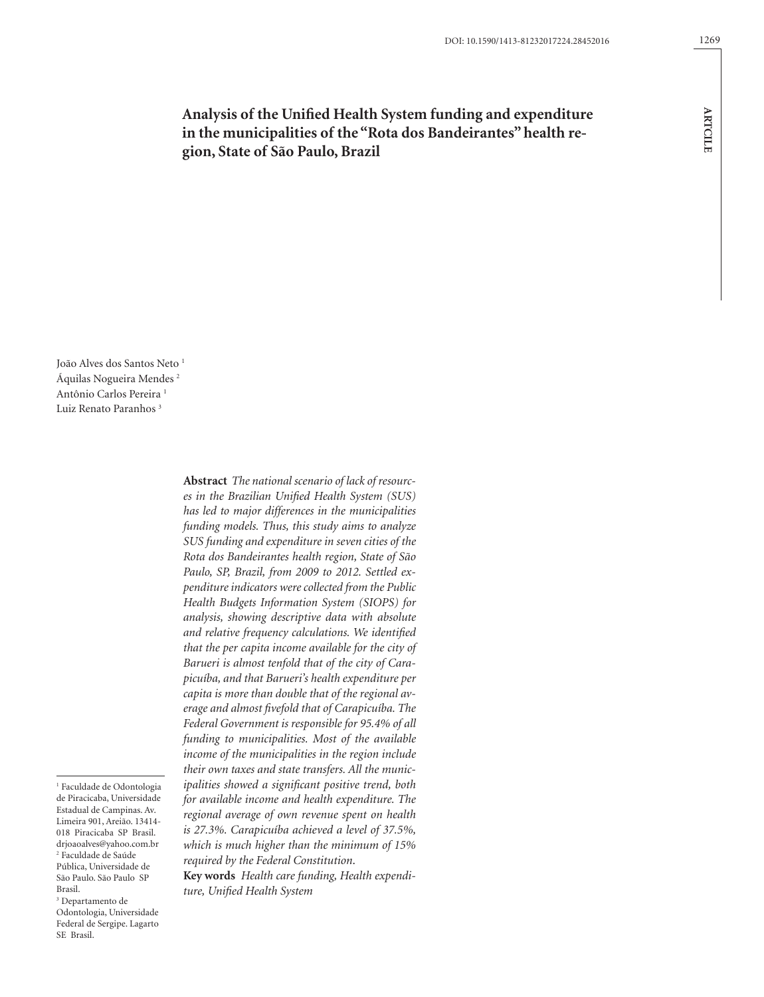**ARTCILE**

**ARTCILE** 

**Analysis of the Unified Health System funding and expenditure in the municipalities of the "Rota dos Bandeirantes" health region, State of São Paulo, Brazil**

João Alves dos Santos Neto<sup>1</sup> Áquilas Nogueira Mendes 2 Antônio Carlos Pereira<sup>1</sup> Luiz Renato Paranhos<sup>3</sup>

1 Faculdade de Odontologia de Piracicaba, Universidade Estadual de Campinas. Av. Limeira 901, Areião. 13414- 018 Piracicaba SP Brasil. drjoaoalves@yahoo.com.br 2 Faculdade de Saúde Pública, Universidade de São Paulo. São Paulo SP Brasil.

3 Departamento de Odontologia, Universidade Federal de Sergipe. Lagarto SE Brasil.

**Abstract** *The national scenario of lack of resources in the Brazilian Unified Health System (SUS) has led to major differences in the municipalities funding models. Thus, this study aims to analyze SUS funding and expenditure in seven cities of the Rota dos Bandeirantes health region, State of São Paulo, SP, Brazil, from 2009 to 2012. Settled expenditure indicators were collected from the Public Health Budgets Information System (SIOPS) for analysis, showing descriptive data with absolute and relative frequency calculations. We identified that the per capita income available for the city of Barueri is almost tenfold that of the city of Carapicuíba, and that Barueri's health expenditure per capita is more than double that of the regional average and almost fivefold that of Carapicuíba. The Federal Government is responsible for 95.4% of all funding to municipalities. Most of the available income of the municipalities in the region include their own taxes and state transfers. All the municipalities showed a significant positive trend, both for available income and health expenditure. The regional average of own revenue spent on health is 27.3%. Carapicuíba achieved a level of 37.5%, which is much higher than the minimum of 15% required by the Federal Constitution*.

**Key words** *Health care funding, Health expenditure, Unified Health System*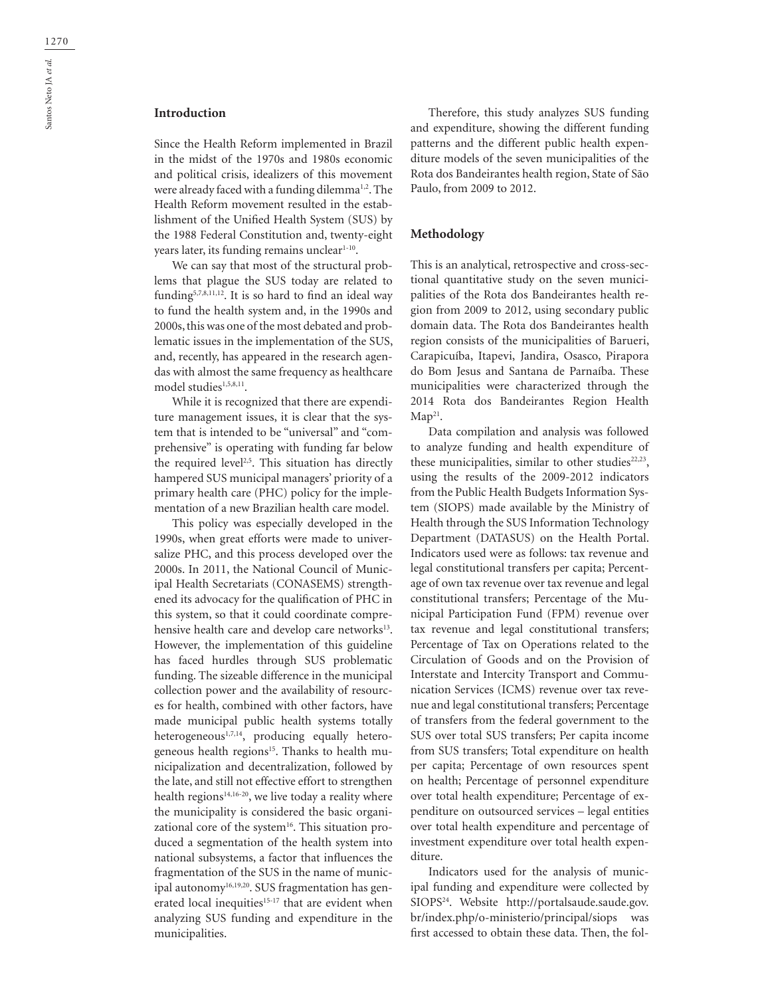# **Introduction**

Since the Health Reform implemented in Brazil in the midst of the 1970s and 1980s economic and political crisis, idealizers of this movement were already faced with a funding dilemma<sup>1,2</sup>. The Health Reform movement resulted in the establishment of the Unified Health System (SUS) by the 1988 Federal Constitution and, twenty-eight years later, its funding remains unclear<sup>1-10</sup>.

We can say that most of the structural problems that plague the SUS today are related to funding5,7,8,11,12. It is so hard to find an ideal way to fund the health system and, in the 1990s and 2000s, this was one of the most debated and problematic issues in the implementation of the SUS, and, recently, has appeared in the research agendas with almost the same frequency as healthcare model studies<sup>1,5,8,11</sup>.

While it is recognized that there are expenditure management issues, it is clear that the system that is intended to be "universal" and "comprehensive" is operating with funding far below the required level<sup>2,5</sup>. This situation has directly hampered SUS municipal managers' priority of a primary health care (PHC) policy for the implementation of a new Brazilian health care model.

This policy was especially developed in the 1990s, when great efforts were made to universalize PHC, and this process developed over the 2000s. In 2011, the National Council of Municipal Health Secretariats (CONASEMS) strengthened its advocacy for the qualification of PHC in this system, so that it could coordinate comprehensive health care and develop care networks<sup>13</sup>. However, the implementation of this guideline has faced hurdles through SUS problematic funding. The sizeable difference in the municipal collection power and the availability of resources for health, combined with other factors, have made municipal public health systems totally heterogeneous<sup>1,7,14</sup>, producing equally heterogeneous health regions<sup>15</sup>. Thanks to health municipalization and decentralization, followed by the late, and still not effective effort to strengthen health regions<sup>14,16-20</sup>, we live today a reality where the municipality is considered the basic organizational core of the system<sup>16</sup>. This situation produced a segmentation of the health system into national subsystems, a factor that influences the fragmentation of the SUS in the name of municipal autonomy<sup>16,19,20</sup>. SUS fragmentation has generated local inequities<sup>15-17</sup> that are evident when analyzing SUS funding and expenditure in the municipalities.

Therefore, this study analyzes SUS funding and expenditure, showing the different funding patterns and the different public health expenditure models of the seven municipalities of the Rota dos Bandeirantes health region, State of São Paulo, from 2009 to 2012.

## **Methodology**

This is an analytical, retrospective and cross-sectional quantitative study on the seven municipalities of the Rota dos Bandeirantes health region from 2009 to 2012, using secondary public domain data. The Rota dos Bandeirantes health region consists of the municipalities of Barueri, Carapicuíba, Itapevi, Jandira, Osasco, Pirapora do Bom Jesus and Santana de Parnaíba. These municipalities were characterized through the 2014 Rota dos Bandeirantes Region Health  $Map<sup>21</sup>$ .

Data compilation and analysis was followed to analyze funding and health expenditure of these municipalities, similar to other studies<sup>22,23</sup>, using the results of the 2009-2012 indicators from the Public Health Budgets Information System (SIOPS) made available by the Ministry of Health through the SUS Information Technology Department (DATASUS) on the Health Portal. Indicators used were as follows: tax revenue and legal constitutional transfers per capita; Percentage of own tax revenue over tax revenue and legal constitutional transfers; Percentage of the Municipal Participation Fund (FPM) revenue over tax revenue and legal constitutional transfers; Percentage of Tax on Operations related to the Circulation of Goods and on the Provision of Interstate and Intercity Transport and Communication Services (ICMS) revenue over tax revenue and legal constitutional transfers; Percentage of transfers from the federal government to the SUS over total SUS transfers; Per capita income from SUS transfers; Total expenditure on health per capita; Percentage of own resources spent on health; Percentage of personnel expenditure over total health expenditure; Percentage of expenditure on outsourced services – legal entities over total health expenditure and percentage of investment expenditure over total health expenditure.

Indicators used for the analysis of municipal funding and expenditure were collected by SIOPS<sup>24</sup>. Website http://portalsaude.saude.gov. br/index.php/o-ministerio/principal/siops was first accessed to obtain these data. Then, the fol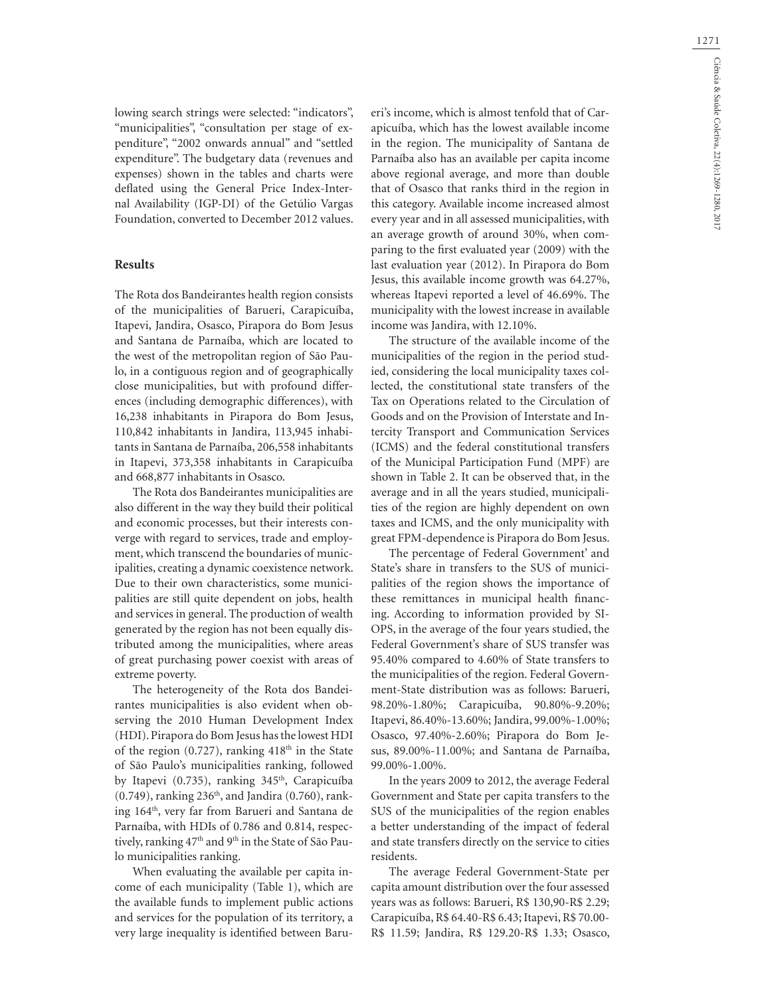lowing search strings were selected: "indicators", "municipalities", "consultation per stage of expenditure", "2002 onwards annual" and "settled expenditure". The budgetary data (revenues and expenses) shown in the tables and charts were deflated using the General Price Index-Internal Availability (IGP-DI) of the Getúlio Vargas Foundation, converted to December 2012 values.

#### **Results**

The Rota dos Bandeirantes health region consists of the municipalities of Barueri, Carapicuíba, Itapevi, Jandira, Osasco, Pirapora do Bom Jesus and Santana de Parnaíba, which are located to the west of the metropolitan region of São Paulo, in a contiguous region and of geographically close municipalities, but with profound differences (including demographic differences), with 16,238 inhabitants in Pirapora do Bom Jesus, 110,842 inhabitants in Jandira, 113,945 inhabitants in Santana de Parnaíba, 206,558 inhabitants in Itapevi, 373,358 inhabitants in Carapicuíba and 668,877 inhabitants in Osasco.

The Rota dos Bandeirantes municipalities are also different in the way they build their political and economic processes, but their interests converge with regard to services, trade and employment, which transcend the boundaries of municipalities, creating a dynamic coexistence network. Due to their own characteristics, some municipalities are still quite dependent on jobs, health and services in general. The production of wealth generated by the region has not been equally distributed among the municipalities, where areas of great purchasing power coexist with areas of extreme poverty.

The heterogeneity of the Rota dos Bandeirantes municipalities is also evident when observing the 2010 Human Development Index (HDI). Pirapora do Bom Jesus has the lowest HDI of the region  $(0.727)$ , ranking  $418<sup>th</sup>$  in the State of São Paulo's municipalities ranking, followed by Itapevi (0.735), ranking 345<sup>th</sup>, Carapicuíba  $(0.749)$ , ranking  $236<sup>th</sup>$ , and Jandira  $(0.760)$ , ranking 164th, very far from Barueri and Santana de Parnaíba, with HDIs of 0.786 and 0.814, respectively, ranking 47<sup>th</sup> and 9<sup>th</sup> in the State of São Paulo municipalities ranking.

When evaluating the available per capita income of each municipality (Table 1), which are the available funds to implement public actions and services for the population of its territory, a very large inequality is identified between Baru-

eri's income, which is almost tenfold that of Carapicuíba, which has the lowest available income in the region. The municipality of Santana de Parnaíba also has an available per capita income above regional average, and more than double that of Osasco that ranks third in the region in this category. Available income increased almost every year and in all assessed municipalities, with an average growth of around 30%, when comparing to the first evaluated year (2009) with the last evaluation year (2012). In Pirapora do Bom Jesus, this available income growth was 64.27%, whereas Itapevi reported a level of 46.69%. The municipality with the lowest increase in available income was Jandira, with 12.10%.

The structure of the available income of the municipalities of the region in the period studied, considering the local municipality taxes collected, the constitutional state transfers of the Tax on Operations related to the Circulation of Goods and on the Provision of Interstate and Intercity Transport and Communication Services (ICMS) and the federal constitutional transfers of the Municipal Participation Fund (MPF) are shown in Table 2. It can be observed that, in the average and in all the years studied, municipalities of the region are highly dependent on own taxes and ICMS, and the only municipality with great FPM-dependence is Pirapora do Bom Jesus.

The percentage of Federal Government' and State's share in transfers to the SUS of municipalities of the region shows the importance of these remittances in municipal health financing. According to information provided by SI-OPS, in the average of the four years studied, the Federal Government's share of SUS transfer was 95.40% compared to 4.60% of State transfers to the municipalities of the region. Federal Government-State distribution was as follows: Barueri, 98.20%-1.80%; Carapicuíba, 90.80%-9.20%; Itapevi, 86.40%-13.60%; Jandira, 99.00%-1.00%; Osasco, 97.40%-2.60%; Pirapora do Bom Jesus, 89.00%-11.00%; and Santana de Parnaíba, 99.00%-1.00%.

In the years 2009 to 2012, the average Federal Government and State per capita transfers to the SUS of the municipalities of the region enables a better understanding of the impact of federal and state transfers directly on the service to cities residents.

The average Federal Government-State per capita amount distribution over the four assessed years was as follows: Barueri, R\$ 130,90-R\$ 2.29; Carapicuíba, R\$ 64.40-R\$ 6.43; Itapevi, R\$ 70.00- R\$ 11.59; Jandira, R\$ 129.20-R\$ 1.33; Osasco,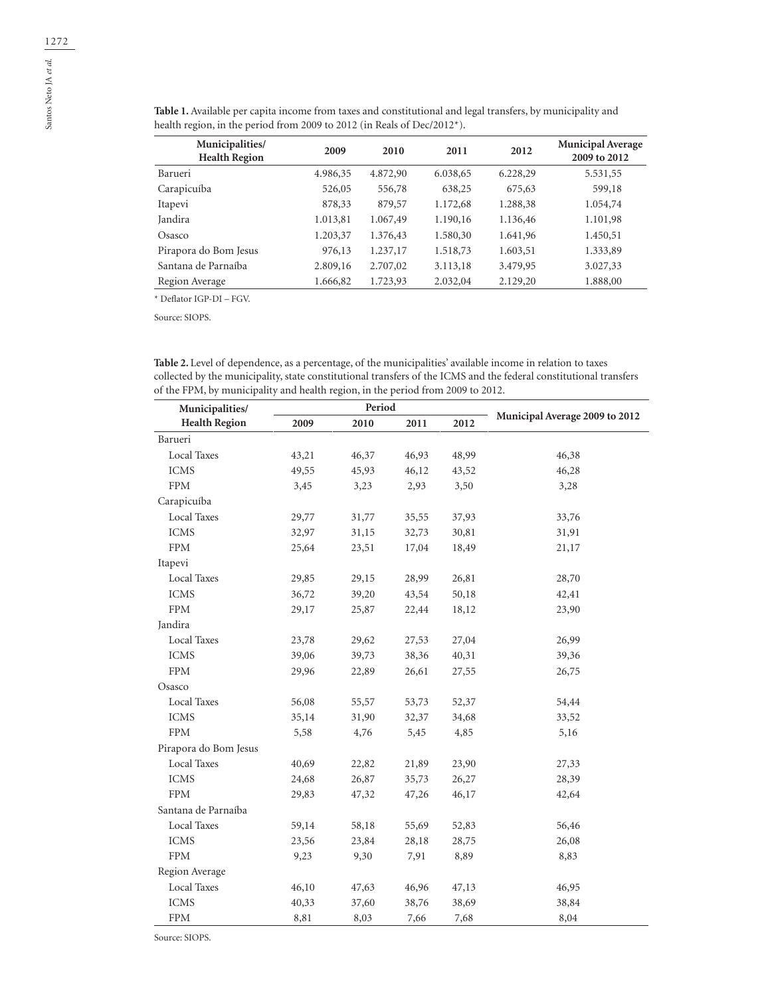| Municipalities/<br><b>Health Region</b> | 2009     | 2010     | 2011     | 2012     | <b>Municipal Average</b><br>2009 to 2012 |
|-----------------------------------------|----------|----------|----------|----------|------------------------------------------|
| Barueri                                 | 4.986,35 | 4.872,90 | 6.038,65 | 6.228,29 | 5.531,55                                 |
| Carapicuíba                             | 526,05   | 556,78   | 638,25   | 675,63   | 599,18                                   |
| Itapevi                                 | 878,33   | 879,57   | 1.172,68 | 1.288,38 | 1.054,74                                 |
| Jandira                                 | 1.013,81 | 1.067,49 | 1.190,16 | 1.136,46 | 1.101,98                                 |
| Osasco                                  | 1.203,37 | 1.376,43 | 1.580,30 | 1.641,96 | 1.450,51                                 |
| Pirapora do Bom Jesus                   | 976,13   | 1.237,17 | 1.518,73 | 1.603,51 | 1.333,89                                 |
| Santana de Parnaíba                     | 2.809,16 | 2.707,02 | 3.113,18 | 3.479,95 | 3.027,33                                 |
| Region Average                          | 1.666,82 | 1.723,93 | 2.032,04 | 2.129,20 | 1.888,00                                 |

**Table 1.** Available per capita income from taxes and constitutional and legal transfers, by municipality and health region, in the period from 2009 to 2012 (in Reals of Dec/2012\*).

\* Deflator IGP-DI – FGV.

Source: SIOPS.

**Table 2.** Level of dependence, as a percentage, of the municipalities' available income in relation to taxes collected by the municipality, state constitutional transfers of the ICMS and the federal constitutional transfers of the FPM, by municipality and health region, in the period from 2009 to 2012.

| Municipalities/       |       | Period |       |       |                                |
|-----------------------|-------|--------|-------|-------|--------------------------------|
| <b>Health Region</b>  | 2009  | 2010   | 2011  | 2012  | Municipal Average 2009 to 2012 |
| Barueri               |       |        |       |       |                                |
| Local Taxes           | 43,21 | 46,37  | 46,93 | 48,99 | 46,38                          |
| <b>ICMS</b>           | 49,55 | 45,93  | 46,12 | 43,52 | 46,28                          |
| <b>FPM</b>            | 3,45  | 3,23   | 2,93  | 3,50  | 3,28                           |
| Carapicuíba           |       |        |       |       |                                |
| <b>Local Taxes</b>    | 29,77 | 31,77  | 35,55 | 37,93 | 33,76                          |
| <b>ICMS</b>           | 32,97 | 31,15  | 32,73 | 30,81 | 31,91                          |
| <b>FPM</b>            | 25,64 | 23,51  | 17,04 | 18,49 | 21,17                          |
| Itapevi               |       |        |       |       |                                |
| <b>Local Taxes</b>    | 29,85 | 29,15  | 28,99 | 26,81 | 28,70                          |
| <b>ICMS</b>           | 36,72 | 39,20  | 43,54 | 50,18 | 42,41                          |
| ${\rm FPM}$           | 29,17 | 25,87  | 22,44 | 18,12 | 23,90                          |
| Jandira               |       |        |       |       |                                |
| Local Taxes           | 23,78 | 29,62  | 27,53 | 27,04 | 26,99                          |
| <b>ICMS</b>           | 39,06 | 39,73  | 38,36 | 40,31 | 39,36                          |
| <b>FPM</b>            | 29,96 | 22,89  | 26,61 | 27,55 | 26,75                          |
| Osasco                |       |        |       |       |                                |
| <b>Local Taxes</b>    | 56,08 | 55,57  | 53,73 | 52,37 | 54,44                          |
| <b>ICMS</b>           | 35,14 | 31,90  | 32,37 | 34,68 | 33,52                          |
| <b>FPM</b>            | 5,58  | 4,76   | 5,45  | 4,85  | 5,16                           |
| Pirapora do Bom Jesus |       |        |       |       |                                |
| <b>Local Taxes</b>    | 40,69 | 22,82  | 21,89 | 23,90 | 27,33                          |
| <b>ICMS</b>           | 24,68 | 26,87  | 35,73 | 26,27 | 28,39                          |
| ${\rm FPM}$           | 29,83 | 47,32  | 47,26 | 46,17 | 42,64                          |
| Santana de Parnaíba   |       |        |       |       |                                |
| <b>Local Taxes</b>    | 59,14 | 58,18  | 55,69 | 52,83 | 56,46                          |
| <b>ICMS</b>           | 23,56 | 23,84  | 28,18 | 28,75 | 26,08                          |
| ${\rm FPM}$           | 9,23  | 9,30   | 7,91  | 8,89  | 8,83                           |
| Region Average        |       |        |       |       |                                |
| <b>Local Taxes</b>    | 46,10 | 47,63  | 46,96 | 47,13 | 46,95                          |
| <b>ICMS</b>           | 40,33 | 37,60  | 38,76 | 38,69 | 38,84                          |
| ${\rm FPM}$           | 8,81  | 8,03   | 7,66  | 7,68  | 8,04                           |

Source: SIOPS.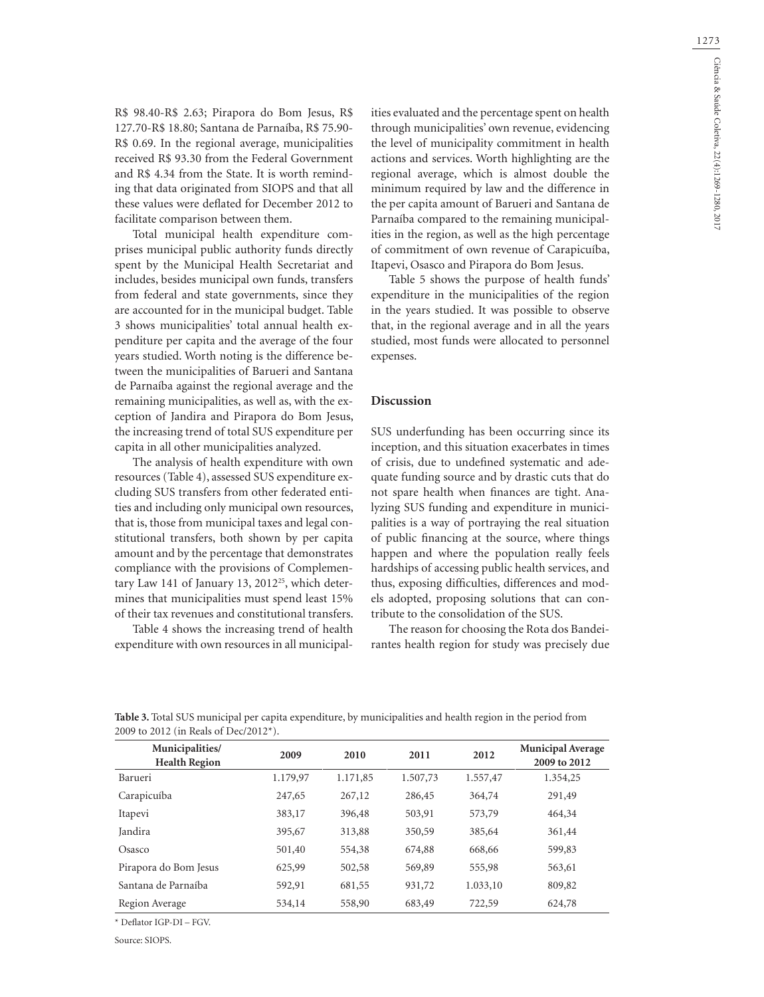R\$ 98.40-R\$ 2.63; Pirapora do Bom Jesus, R\$ 127.70-R\$ 18.80; Santana de Parnaíba, R\$ 75.90- R\$ 0.69. In the regional average, municipalities received R\$ 93.30 from the Federal Government and R\$ 4.34 from the State. It is worth reminding that data originated from SIOPS and that all these values were deflated for December 2012 to facilitate comparison between them.

Total municipal health expenditure comprises municipal public authority funds directly spent by the Municipal Health Secretariat and includes, besides municipal own funds, transfers from federal and state governments, since they are accounted for in the municipal budget. Table 3 shows municipalities' total annual health expenditure per capita and the average of the four years studied. Worth noting is the difference between the municipalities of Barueri and Santana de Parnaíba against the regional average and the remaining municipalities, as well as, with the exception of Jandira and Pirapora do Bom Jesus, the increasing trend of total SUS expenditure per capita in all other municipalities analyzed.

The analysis of health expenditure with own resources (Table 4), assessed SUS expenditure excluding SUS transfers from other federated entities and including only municipal own resources, that is, those from municipal taxes and legal constitutional transfers, both shown by per capita amount and by the percentage that demonstrates compliance with the provisions of Complementary Law 141 of January 13, 2012<sup>25</sup>, which determines that municipalities must spend least 15% of their tax revenues and constitutional transfers.

Table 4 shows the increasing trend of health expenditure with own resources in all municipalities evaluated and the percentage spent on health through municipalities' own revenue, evidencing the level of municipality commitment in health actions and services. Worth highlighting are the regional average, which is almost double the minimum required by law and the difference in the per capita amount of Barueri and Santana de Parnaíba compared to the remaining municipalities in the region, as well as the high percentage of commitment of own revenue of Carapicuíba, Itapevi, Osasco and Pirapora do Bom Jesus.

Table 5 shows the purpose of health funds' expenditure in the municipalities of the region in the years studied. It was possible to observe that, in the regional average and in all the years studied, most funds were allocated to personnel expenses.

#### **Discussion**

SUS underfunding has been occurring since its inception, and this situation exacerbates in times of crisis, due to undefined systematic and adequate funding source and by drastic cuts that do not spare health when finances are tight. Analyzing SUS funding and expenditure in municipalities is a way of portraying the real situation of public financing at the source, where things happen and where the population really feels hardships of accessing public health services, and thus, exposing difficulties, differences and models adopted, proposing solutions that can contribute to the consolidation of the SUS.

The reason for choosing the Rota dos Bandeirantes health region for study was precisely due

| Municipalities/<br><b>Health Region</b> | 2009     | 2010     | 2011     | 2012     | <b>Municipal Average</b><br>2009 to 2012 |
|-----------------------------------------|----------|----------|----------|----------|------------------------------------------|
| Barueri                                 | 1.179,97 | 1.171,85 | 1.507,73 | 1.557,47 | 1.354,25                                 |
| Carapicuíba                             | 247,65   | 267,12   | 286,45   | 364,74   | 291,49                                   |
| Itapevi                                 | 383,17   | 396,48   | 503,91   | 573,79   | 464,34                                   |
| Jandira                                 | 395,67   | 313,88   | 350,59   | 385,64   | 361,44                                   |
| Osasco                                  | 501,40   | 554,38   | 674,88   | 668,66   | 599,83                                   |
| Pirapora do Bom Jesus                   | 625,99   | 502,58   | 569,89   | 555,98   | 563,61                                   |
| Santana de Parnaíba                     | 592,91   | 681,55   | 931,72   | 1.033,10 | 809,82                                   |
| Region Average                          | 534,14   | 558,90   | 683,49   | 722,59   | 624,78                                   |

**Table 3.** Total SUS municipal per capita expenditure, by municipalities and health region in the period from 2009 to 2012 (in Reals of Dec/2012\*).

\* Deflator IGP-DI – FGV.

Source: SIOPS.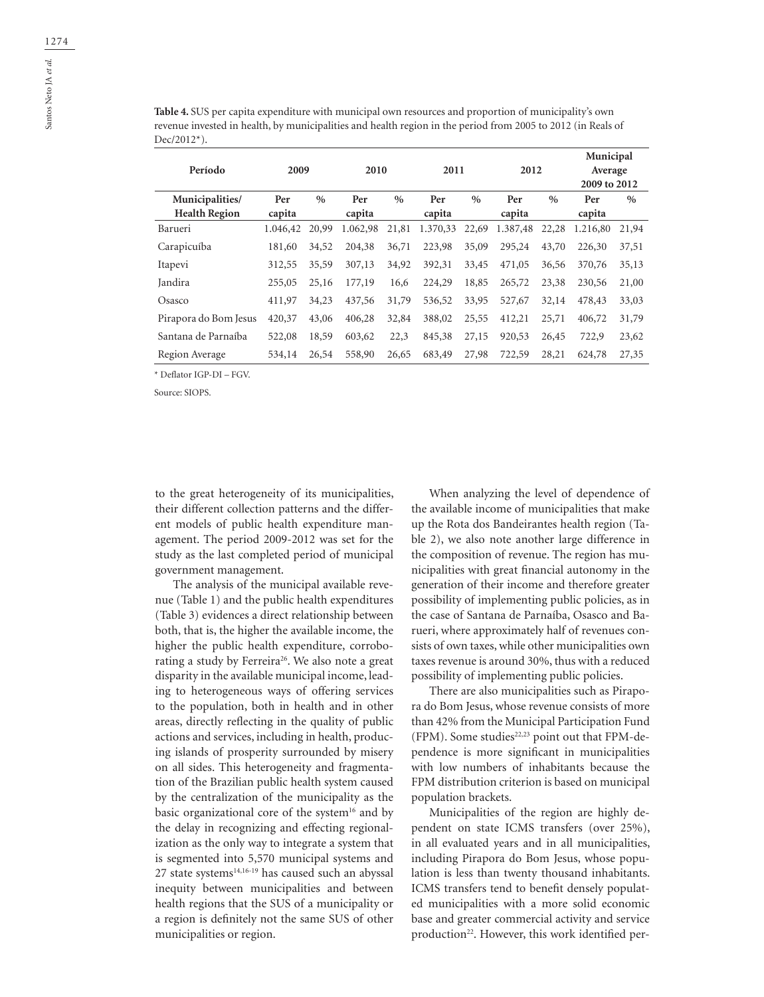**Table 4.** SUS per capita expenditure with municipal own resources and proportion of municipality's own revenue invested in health, by municipalities and health region in the period from 2005 to 2012 (in Reals of Dec/2012\*).

| Período                                 | 2009<br>2010  |       | 2011          |       | 2012          |               | Municipal<br>Average<br>2009 to 2012 |       |               |       |
|-----------------------------------------|---------------|-------|---------------|-------|---------------|---------------|--------------------------------------|-------|---------------|-------|
| Municipalities/<br><b>Health Region</b> | Per<br>capita | $\%$  | Per<br>capita | $\%$  | Per<br>capita | $\frac{0}{0}$ | Per<br>capita                        | $\%$  | Per<br>capita | $\%$  |
| Barueri                                 | 1.046,42      | 20,99 | 1.062,98      | 21,81 | 1.370,33      | 22,69         | 1.387,48                             | 22,28 | 1.216,80      | 21,94 |
| Carapicuíba                             | 181,60        | 34,52 | 204,38        | 36,71 | 223,98        | 35,09         | 295,24                               | 43,70 | 226,30        | 37,51 |
| Itapevi                                 | 312,55        | 35,59 | 307,13        | 34,92 | 392,31        | 33,45         | 471,05                               | 36,56 | 370,76        | 35,13 |
| Jandira                                 | 255,05        | 25,16 | 177,19        | 16,6  | 224,29        | 18,85         | 265,72                               | 23,38 | 230,56        | 21,00 |
| Osasco                                  | 411,97        | 34,23 | 437,56        | 31,79 | 536,52        | 33,95         | 527,67                               | 32,14 | 478,43        | 33,03 |
| Pirapora do Bom Jesus                   | 420,37        | 43,06 | 406,28        | 32,84 | 388,02        | 25,55         | 412,21                               | 25,71 | 406,72        | 31,79 |
| Santana de Parnaíba                     | 522,08        | 18,59 | 603,62        | 22,3  | 845,38        | 27,15         | 920,53                               | 26,45 | 722.9         | 23,62 |
| Region Average                          | 534,14        | 26,54 | 558,90        | 26,65 | 683,49        | 27,98         | 722,59                               | 28,21 | 624,78        | 27,35 |
|                                         |               |       |               |       |               |               |                                      |       |               |       |

\* Deflator IGP-DI – FGV.

Source: SIOPS.

to the great heterogeneity of its municipalities, their different collection patterns and the different models of public health expenditure management. The period 2009-2012 was set for the study as the last completed period of municipal government management.

The analysis of the municipal available revenue (Table 1) and the public health expenditures (Table 3) evidences a direct relationship between both, that is, the higher the available income, the higher the public health expenditure, corroborating a study by Ferreira<sup>26</sup>. We also note a great disparity in the available municipal income, leading to heterogeneous ways of offering services to the population, both in health and in other areas, directly reflecting in the quality of public actions and services, including in health, producing islands of prosperity surrounded by misery on all sides. This heterogeneity and fragmentation of the Brazilian public health system caused by the centralization of the municipality as the basic organizational core of the system<sup>16</sup> and by the delay in recognizing and effecting regionalization as the only way to integrate a system that is segmented into 5,570 municipal systems and 27 state systems $14,16-19$  has caused such an abyssal inequity between municipalities and between health regions that the SUS of a municipality or a region is definitely not the same SUS of other municipalities or region.

When analyzing the level of dependence of the available income of municipalities that make up the Rota dos Bandeirantes health region (Table 2), we also note another large difference in the composition of revenue. The region has municipalities with great financial autonomy in the generation of their income and therefore greater possibility of implementing public policies, as in the case of Santana de Parnaíba, Osasco and Barueri, where approximately half of revenues consists of own taxes, while other municipalities own taxes revenue is around 30%, thus with a reduced possibility of implementing public policies.

There are also municipalities such as Pirapora do Bom Jesus, whose revenue consists of more than 42% from the Municipal Participation Fund (FPM). Some studies $22,23$  point out that FPM-dependence is more significant in municipalities with low numbers of inhabitants because the FPM distribution criterion is based on municipal population brackets.

Municipalities of the region are highly dependent on state ICMS transfers (over 25%), in all evaluated years and in all municipalities, including Pirapora do Bom Jesus, whose population is less than twenty thousand inhabitants. ICMS transfers tend to benefit densely populated municipalities with a more solid economic base and greater commercial activity and service production<sup>22</sup>. However, this work identified per-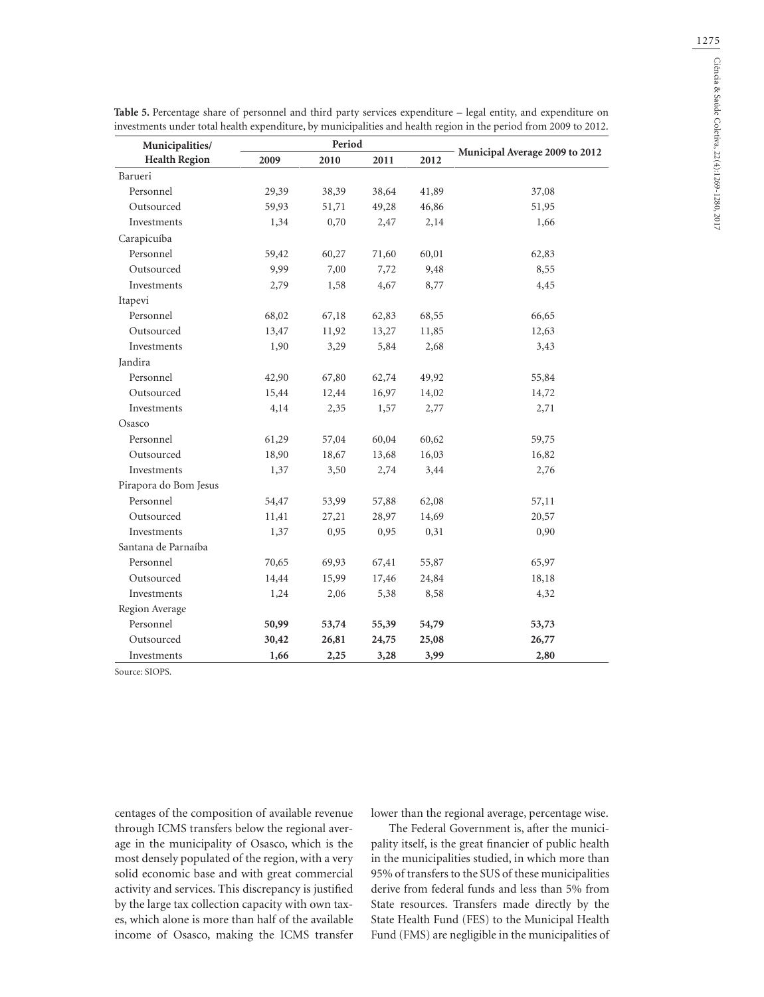| Municipalities/       |       | Period               |       |       |                                |
|-----------------------|-------|----------------------|-------|-------|--------------------------------|
| <b>Health Region</b>  | 2009  | 2011<br>2010<br>2012 |       |       | Municipal Average 2009 to 2012 |
| Barueri               |       |                      |       |       |                                |
| Personnel             | 29,39 | 38,39                | 38,64 | 41,89 | 37,08                          |
| Outsourced            | 59,93 | 51,71                | 49,28 | 46,86 | 51,95                          |
| Investments           | 1,34  | 0,70                 | 2,47  | 2,14  | 1,66                           |
| Carapicuíba           |       |                      |       |       |                                |
| Personnel             | 59,42 | 60,27                | 71,60 | 60,01 | 62,83                          |
| Outsourced            | 9,99  | 7,00                 | 7,72  | 9,48  | 8,55                           |
| Investments           | 2,79  | 1,58                 | 4,67  | 8,77  | 4,45                           |
| Itapevi               |       |                      |       |       |                                |
| Personnel             | 68,02 | 67,18                | 62,83 | 68,55 | 66,65                          |
| Outsourced            | 13,47 | 11,92                | 13,27 | 11,85 | 12,63                          |
| Investments           | 1,90  | 3,29                 | 5,84  | 2,68  | 3,43                           |
| Jandira               |       |                      |       |       |                                |
| Personnel             | 42,90 | 67,80                | 62,74 | 49,92 | 55,84                          |
| Outsourced            | 15,44 | 12,44                | 16,97 | 14,02 | 14,72                          |
| Investments           | 4,14  | 2,35                 | 1,57  | 2,77  | 2,71                           |
| Osasco                |       |                      |       |       |                                |
| Personnel             | 61,29 | 57,04                | 60,04 | 60,62 | 59,75                          |
| Outsourced            | 18,90 | 18,67                | 13,68 | 16,03 | 16,82                          |
| Investments           | 1,37  | 3,50                 | 2,74  | 3,44  | 2,76                           |
| Pirapora do Bom Jesus |       |                      |       |       |                                |
| Personnel             | 54,47 | 53,99                | 57,88 | 62,08 | 57,11                          |
| Outsourced            | 11,41 | 27,21                | 28,97 | 14,69 | 20,57                          |
| Investments           | 1,37  | 0,95                 | 0,95  | 0,31  | 0,90                           |
| Santana de Parnaíba   |       |                      |       |       |                                |
| Personnel             | 70,65 | 69,93                | 67,41 | 55,87 | 65,97                          |
| Outsourced            | 14,44 | 15,99                | 17,46 | 24,84 | 18,18                          |
| Investments           | 1,24  | 2,06                 | 5,38  | 8,58  | 4,32                           |
| Region Average        |       |                      |       |       |                                |
| Personnel             | 50,99 | 53,74                | 55,39 | 54,79 | 53,73                          |
| Outsourced            | 30,42 | 26,81                | 24,75 | 25,08 | 26,77                          |
| Investments           | 1,66  | 2,25                 | 3,28  | 3,99  | 2,80                           |

**Table 5.** Percentage share of personnel and third party services expenditure – legal entity, and expenditure on investments under total health expenditure, by municipalities and health region in the period from 2009 to 2012.

Source: SIOPS.

centages of the composition of available revenue through ICMS transfers below the regional average in the municipality of Osasco, which is the most densely populated of the region, with a very solid economic base and with great commercial activity and services. This discrepancy is justified by the large tax collection capacity with own taxes, which alone is more than half of the available income of Osasco, making the ICMS transfer lower than the regional average, percentage wise.

The Federal Government is, after the municipality itself, is the great financier of public health in the municipalities studied, in which more than 95% of transfers to the SUS of these municipalities derive from federal funds and less than 5% from State resources. Transfers made directly by the State Health Fund (FES) to the Municipal Health Fund (FMS) are negligible in the municipalities of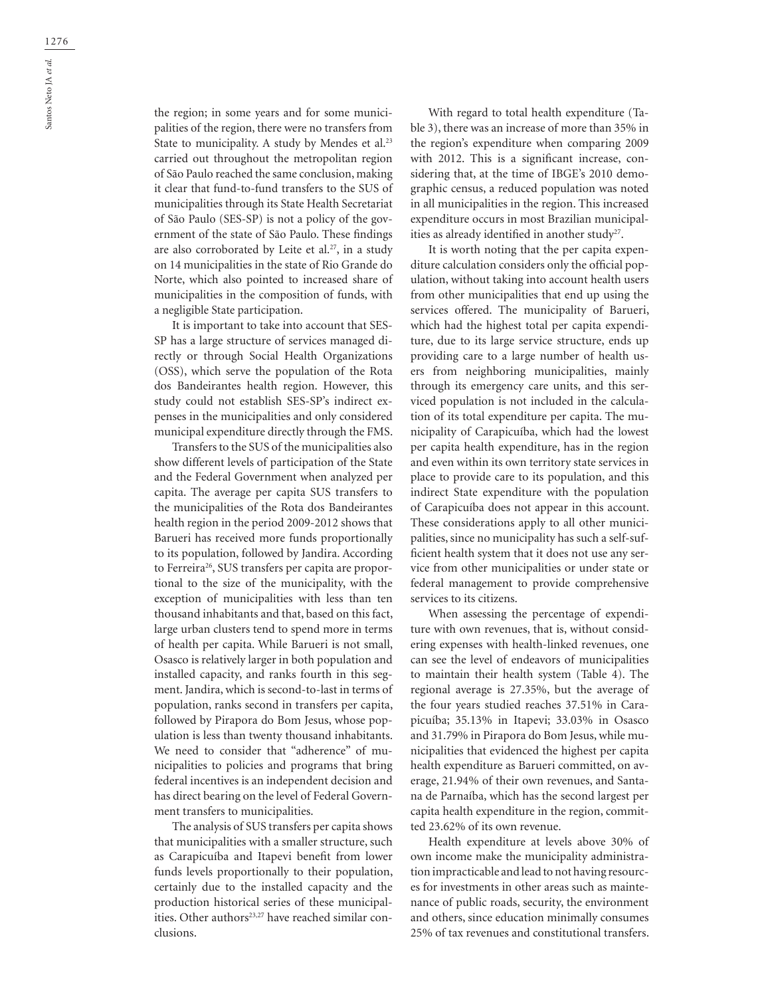the region; in some years and for some municipalities of the region, there were no transfers from State to municipality. A study by Mendes et al.<sup>23</sup> carried out throughout the metropolitan region of São Paulo reached the same conclusion, making it clear that fund-to-fund transfers to the SUS of municipalities through its State Health Secretariat of São Paulo (SES-SP) is not a policy of the government of the state of São Paulo. These findings are also corroborated by Leite et al.<sup>27</sup>, in a study on 14 municipalities in the state of Rio Grande do Norte, which also pointed to increased share of municipalities in the composition of funds, with a negligible State participation.

It is important to take into account that SES-SP has a large structure of services managed directly or through Social Health Organizations (OSS), which serve the population of the Rota dos Bandeirantes health region. However, this study could not establish SES-SP's indirect expenses in the municipalities and only considered municipal expenditure directly through the FMS.

Transfers to the SUS of the municipalities also show different levels of participation of the State and the Federal Government when analyzed per capita. The average per capita SUS transfers to the municipalities of the Rota dos Bandeirantes health region in the period 2009-2012 shows that Barueri has received more funds proportionally to its population, followed by Jandira. According to Ferreira<sup>26</sup>, SUS transfers per capita are proportional to the size of the municipality, with the exception of municipalities with less than ten thousand inhabitants and that, based on this fact, large urban clusters tend to spend more in terms of health per capita. While Barueri is not small, Osasco is relatively larger in both population and installed capacity, and ranks fourth in this segment. Jandira, which is second-to-last in terms of population, ranks second in transfers per capita, followed by Pirapora do Bom Jesus, whose population is less than twenty thousand inhabitants. We need to consider that "adherence" of municipalities to policies and programs that bring federal incentives is an independent decision and has direct bearing on the level of Federal Government transfers to municipalities.

The analysis of SUS transfers per capita shows that municipalities with a smaller structure, such as Carapicuíba and Itapevi benefit from lower funds levels proportionally to their population, certainly due to the installed capacity and the production historical series of these municipalities. Other authors<sup>23,27</sup> have reached similar conclusions.

With regard to total health expenditure (Table 3), there was an increase of more than 35% in the region's expenditure when comparing 2009 with 2012. This is a significant increase, considering that, at the time of IBGE's 2010 demographic census, a reduced population was noted in all municipalities in the region. This increased expenditure occurs in most Brazilian municipalities as already identified in another study<sup>27</sup>.

It is worth noting that the per capita expenditure calculation considers only the official population, without taking into account health users from other municipalities that end up using the services offered. The municipality of Barueri, which had the highest total per capita expenditure, due to its large service structure, ends up providing care to a large number of health users from neighboring municipalities, mainly through its emergency care units, and this serviced population is not included in the calculation of its total expenditure per capita. The municipality of Carapicuíba, which had the lowest per capita health expenditure, has in the region and even within its own territory state services in place to provide care to its population, and this indirect State expenditure with the population of Carapicuíba does not appear in this account. These considerations apply to all other municipalities, since no municipality has such a self-sufficient health system that it does not use any service from other municipalities or under state or federal management to provide comprehensive services to its citizens.

When assessing the percentage of expenditure with own revenues, that is, without considering expenses with health-linked revenues, one can see the level of endeavors of municipalities to maintain their health system (Table 4). The regional average is 27.35%, but the average of the four years studied reaches 37.51% in Carapicuíba; 35.13% in Itapevi; 33.03% in Osasco and 31.79% in Pirapora do Bom Jesus, while municipalities that evidenced the highest per capita health expenditure as Barueri committed, on average, 21.94% of their own revenues, and Santana de Parnaíba, which has the second largest per capita health expenditure in the region, committed 23.62% of its own revenue.

Health expenditure at levels above 30% of own income make the municipality administration impracticable and lead to not having resources for investments in other areas such as maintenance of public roads, security, the environment and others, since education minimally consumes 25% of tax revenues and constitutional transfers.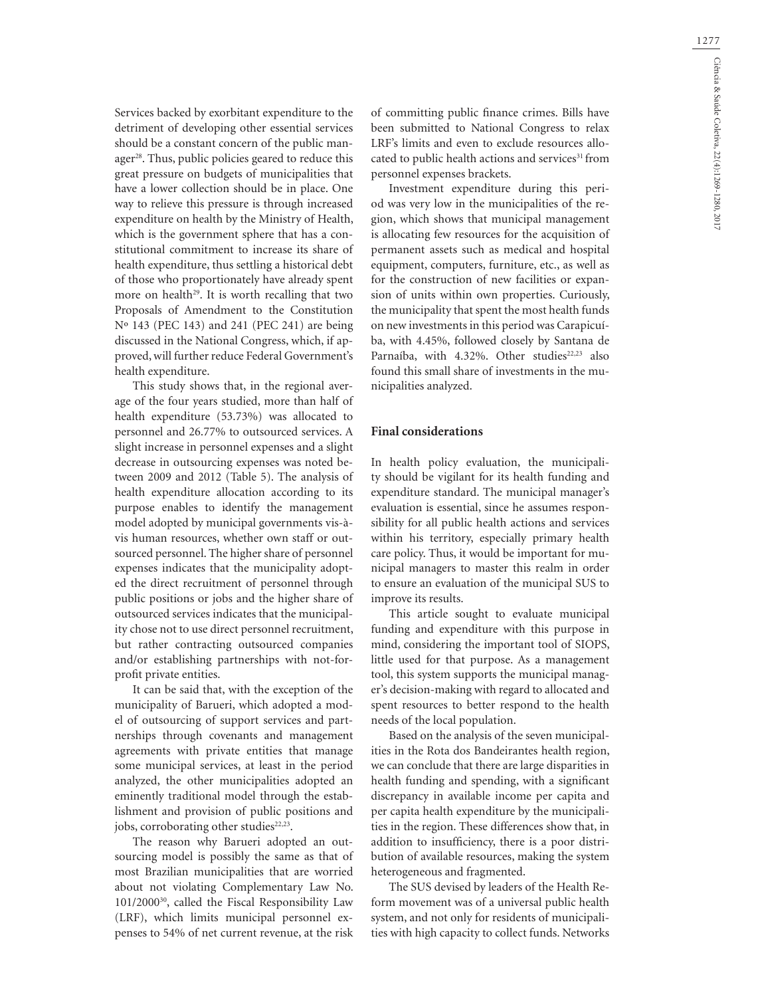Services backed by exorbitant expenditure to the detriment of developing other essential services should be a constant concern of the public manager<sup>28</sup>. Thus, public policies geared to reduce this great pressure on budgets of municipalities that have a lower collection should be in place. One way to relieve this pressure is through increased expenditure on health by the Ministry of Health, which is the government sphere that has a constitutional commitment to increase its share of health expenditure, thus settling a historical debt of those who proportionately have already spent more on health<sup>29</sup>. It is worth recalling that two Proposals of Amendment to the Constitution Nº 143 (PEC 143) and 241 (PEC 241) are being discussed in the National Congress, which, if approved, will further reduce Federal Government's health expenditure.

This study shows that, in the regional average of the four years studied, more than half of health expenditure (53.73%) was allocated to personnel and 26.77% to outsourced services. A slight increase in personnel expenses and a slight decrease in outsourcing expenses was noted between 2009 and 2012 (Table 5). The analysis of health expenditure allocation according to its purpose enables to identify the management model adopted by municipal governments vis-àvis human resources, whether own staff or outsourced personnel. The higher share of personnel expenses indicates that the municipality adopted the direct recruitment of personnel through public positions or jobs and the higher share of outsourced services indicates that the municipality chose not to use direct personnel recruitment, but rather contracting outsourced companies and/or establishing partnerships with not-forprofit private entities.

It can be said that, with the exception of the municipality of Barueri, which adopted a model of outsourcing of support services and partnerships through covenants and management agreements with private entities that manage some municipal services, at least in the period analyzed, the other municipalities adopted an eminently traditional model through the establishment and provision of public positions and jobs, corroborating other studies<sup>22,23</sup>.

The reason why Barueri adopted an outsourcing model is possibly the same as that of most Brazilian municipalities that are worried about not violating Complementary Law No. 101/2000<sup>30</sup>, called the Fiscal Responsibility Law (LRF), which limits municipal personnel expenses to 54% of net current revenue, at the risk of committing public finance crimes. Bills have been submitted to National Congress to relax LRF's limits and even to exclude resources allocated to public health actions and services<sup>31</sup> from personnel expenses brackets.

Investment expenditure during this period was very low in the municipalities of the region, which shows that municipal management is allocating few resources for the acquisition of permanent assets such as medical and hospital equipment, computers, furniture, etc., as well as for the construction of new facilities or expansion of units within own properties. Curiously, the municipality that spent the most health funds on new investments in this period was Carapicuíba, with 4.45%, followed closely by Santana de Parnaíba, with 4.32%. Other studies<sup>22,23</sup> also found this small share of investments in the municipalities analyzed.

#### **Final considerations**

In health policy evaluation, the municipality should be vigilant for its health funding and expenditure standard. The municipal manager's evaluation is essential, since he assumes responsibility for all public health actions and services within his territory, especially primary health care policy. Thus, it would be important for municipal managers to master this realm in order to ensure an evaluation of the municipal SUS to improve its results.

This article sought to evaluate municipal funding and expenditure with this purpose in mind, considering the important tool of SIOPS, little used for that purpose. As a management tool, this system supports the municipal manager's decision-making with regard to allocated and spent resources to better respond to the health needs of the local population.

Based on the analysis of the seven municipalities in the Rota dos Bandeirantes health region, we can conclude that there are large disparities in health funding and spending, with a significant discrepancy in available income per capita and per capita health expenditure by the municipalities in the region. These differences show that, in addition to insufficiency, there is a poor distribution of available resources, making the system heterogeneous and fragmented.

The SUS devised by leaders of the Health Reform movement was of a universal public health system, and not only for residents of municipalities with high capacity to collect funds. Networks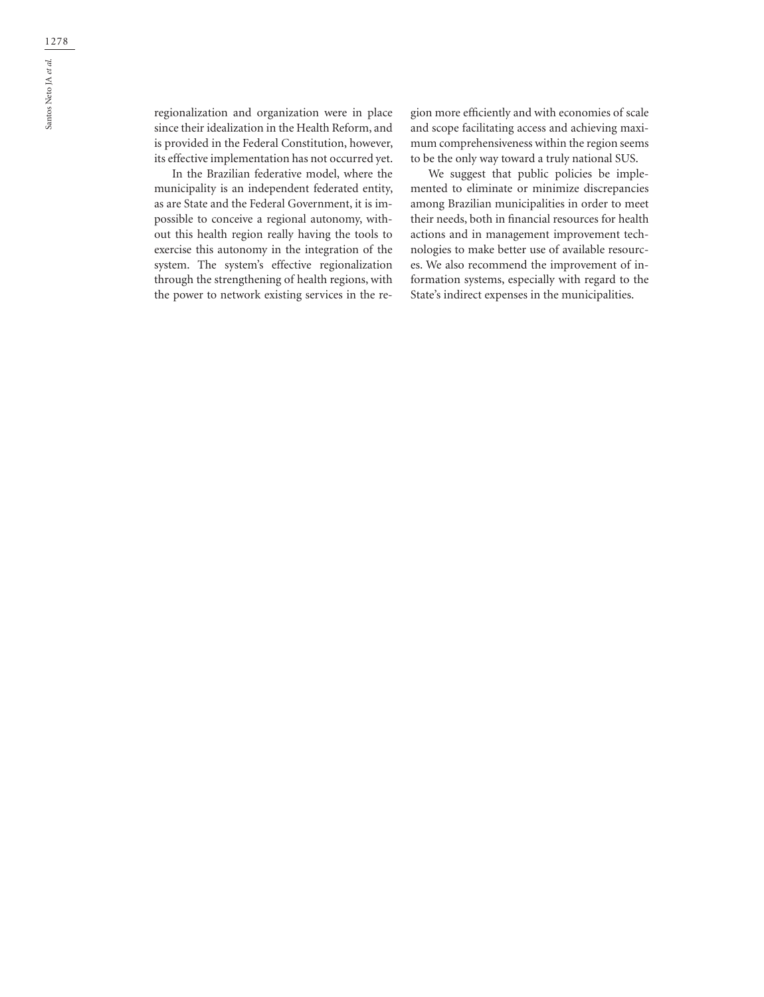regionalization and organization were in place since their idealization in the Health Reform, and is provided in the Federal Constitution, however, its effective implementation has not occurred yet.

In the Brazilian federative model, where the municipality is an independent federated entity, as are State and the Federal Government, it is impossible to conceive a regional autonomy, without this health region really having the tools to exercise this autonomy in the integration of the system. The system's effective regionalization through the strengthening of health regions, with the power to network existing services in the region more efficiently and with economies of scale and scope facilitating access and achieving maximum comprehensiveness within the region seems to be the only way toward a truly national SUS.

We suggest that public policies be implemented to eliminate or minimize discrepancies among Brazilian municipalities in order to meet their needs, both in financial resources for health actions and in management improvement technologies to make better use of available resources. We also recommend the improvement of information systems, especially with regard to the State's indirect expenses in the municipalities.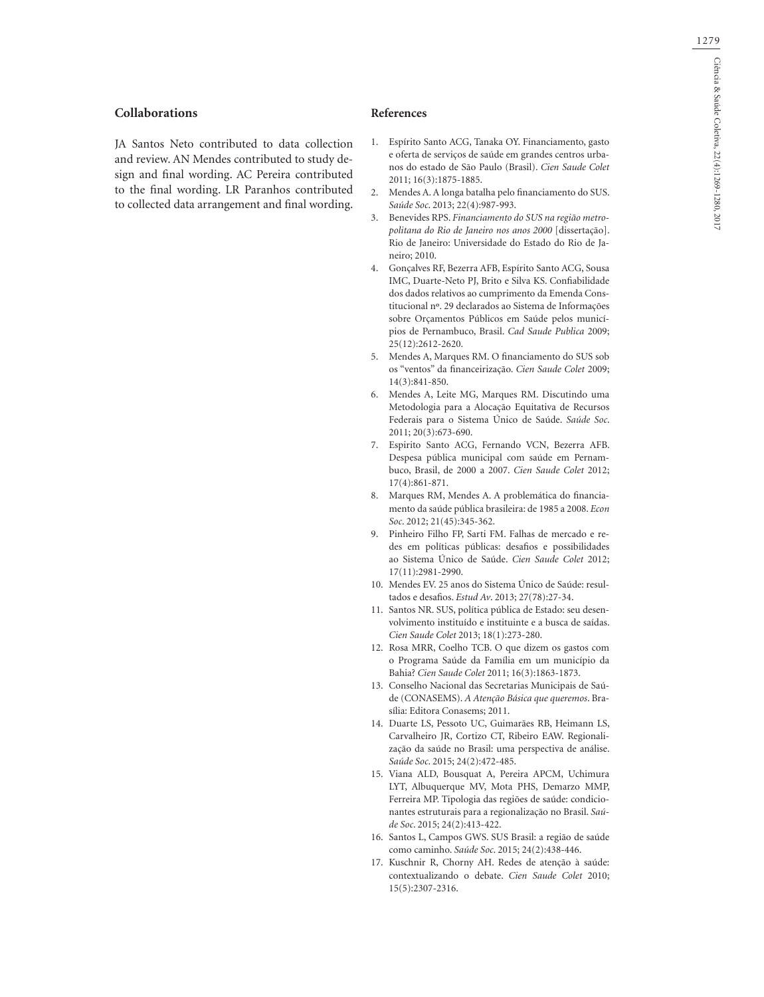### **Collaborations**

JA Santos Neto contributed to data collection and review. AN Mendes contributed to study design and final wording. AC Pereira contributed to the final wording. LR Paranhos contributed to collected data arrangement and final wording.

#### **References**

- 1. Espírito Santo ACG, Tanaka OY. Financiamento, gasto e oferta de serviços de saúde em grandes centros urbanos do estado de São Paulo (Brasil). *Cien Saude Colet* 2011; 16(3):1875-1885.
- 2. Mendes A. A longa batalha pelo financiamento do SUS. *Saúde Soc*. 2013; 22(4):987-993.
- 3. Benevides RPS. *Financiamento do SUS na região metropolitana do Rio de Janeiro nos anos 2000* [dissertação]. Rio de Janeiro: Universidade do Estado do Rio de Janeiro; 2010.
- 4. Gonçalves RF, Bezerra AFB, Espírito Santo ACG, Sousa IMC, Duarte-Neto PJ, Brito e Silva KS. Confiabilidade dos dados relativos ao cumprimento da Emenda Constitucional nº. 29 declarados ao Sistema de Informações sobre Orçamentos Públicos em Saúde pelos municípios de Pernambuco, Brasil. *Cad Saude Publica* 2009; 25(12):2612-2620.
- 5. Mendes A, Marques RM. O financiamento do SUS sob os "ventos" da financeirização. *Cien Saude Colet* 2009; 14(3):841-850.
- 6. Mendes A, Leite MG, Marques RM. Discutindo uma Metodologia para a Alocação Equitativa de Recursos Federais para o Sistema Único de Saúde. *Saúde Soc*. 2011; 20(3):673-690.
- 7. Espirito Santo ACG, Fernando VCN, Bezerra AFB. Despesa pública municipal com saúde em Pernambuco, Brasil, de 2000 a 2007. *Cien Saude Colet* 2012; 17(4):861-871.
- 8. Marques RM, Mendes A. A problemática do financiamento da saúde pública brasileira: de 1985 a 2008. *Econ Soc*. 2012; 21(45):345-362.
- 9. Pinheiro Filho FP, Sarti FM. Falhas de mercado e redes em políticas públicas: desafios e possibilidades ao Sistema Único de Saúde. *Cien Saude Colet* 2012; 17(11):2981-2990.
- 10. Mendes EV. 25 anos do Sistema Único de Saúde: resultados e desafios. *Estud Av*. 2013; 27(78):27-34.
- 11. Santos NR. SUS, política pública de Estado: seu desenvolvimento instituído e instituinte e a busca de saídas. *Cien Saude Colet* 2013; 18(1):273-280.
- 12. Rosa MRR, Coelho TCB. O que dizem os gastos com o Programa Saúde da Família em um município da Bahia? *Cien Saude Colet* 2011; 16(3):1863-1873.
- 13. Conselho Nacional das Secretarias Municipais de Saúde (CONASEMS). *A Atenção Básica que queremos*. Brasília: Editora Conasems; 2011.
- 14. Duarte LS, Pessoto UC, Guimarães RB, Heimann LS, Carvalheiro JR, Cortizo CT, Ribeiro EAW. Regionalização da saúde no Brasil: uma perspectiva de análise. *Saúde Soc*. 2015; 24(2):472-485.
- 15. Viana ALD, Bousquat A, Pereira APCM, Uchimura LYT, Albuquerque MV, Mota PHS, Demarzo MMP, Ferreira MP. Tipologia das regiões de saúde: condicionantes estruturais para a regionalização no Brasil. *Saúde Soc*. 2015; 24(2):413-422.
- 16. Santos L, Campos GWS. SUS Brasil: a região de saúde como caminho. *Saúde Soc*. 2015; 24(2):438-446.
- 17. Kuschnir R, Chorny AH. Redes de atenção à saúde: contextualizando o debate. *Cien Saude Colet* 2010; 15(5):2307-2316.